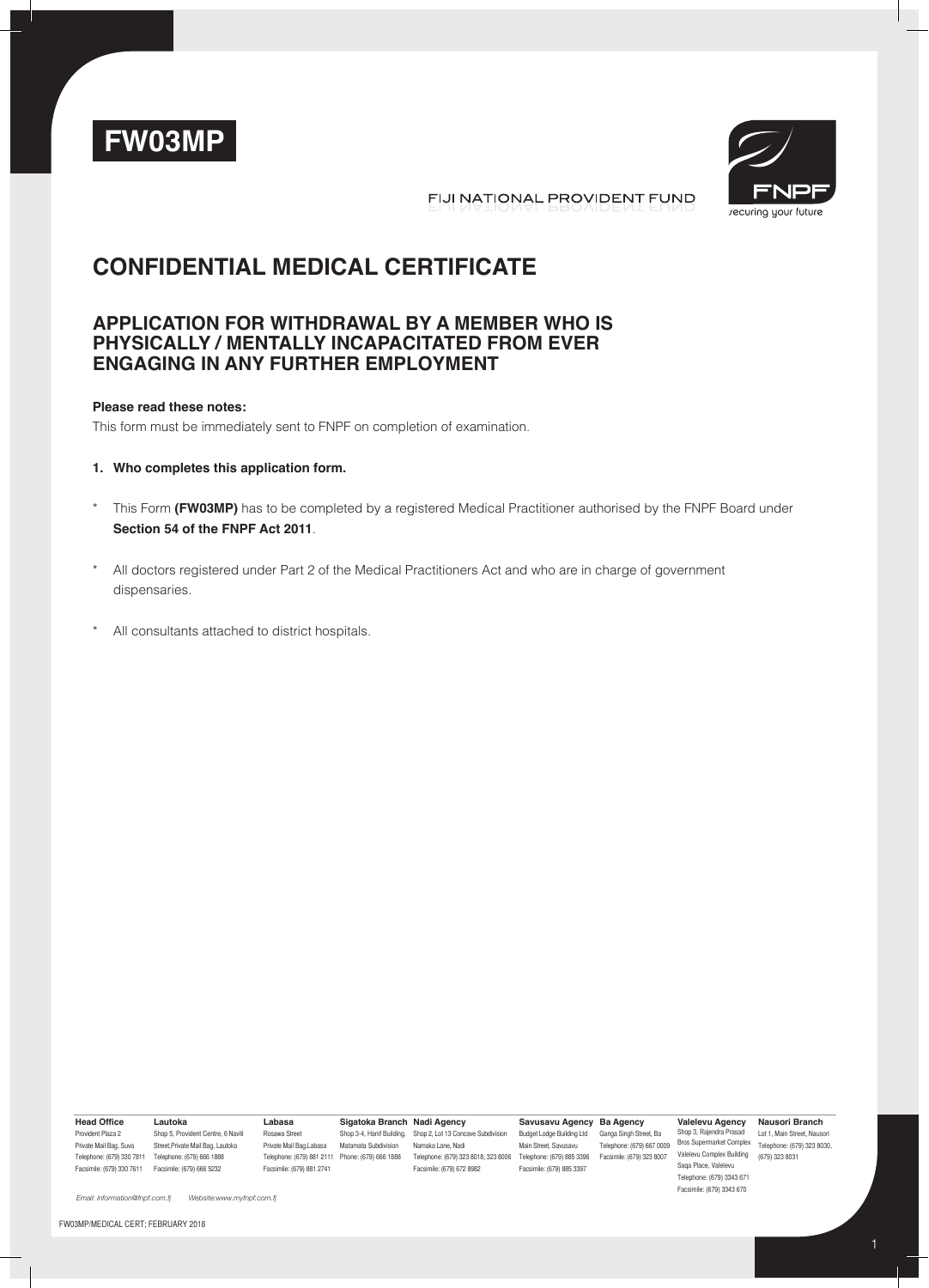



FIJI NATIONAL PROVIDENT FUND

# **Confidential Medical Certificate**

## **Application for withdrawal by a member who is physically / mentally incapacitated from ever engaging in any further employment**

#### **Please read these notes:**

This form must be immediately sent to FNPF on completion of examination.

#### **1. Who completes this application form.**

- This Form (FW03MP) has to be completed by a registered Medical Practitioner authorised by the FNPF Board under **Section 54 of the FNPF Act 2011**.
- \* All doctors registered under Part 2 of the Medical Practitioners Act and who are in charge of government dispensaries.
- \* All consultants attached to district hospitals.

**Head Office** Provident Plaza 2 Private Mail Bag, Suva Telephone: (679) 330 7811 Telephone: (679) 666 1888 Facsimile: (679) 330 7611 Facsimile: (679) 666 5232

Shop 5, Provident Centre, 6 Naviti Street,Private Mail Bag, Lautoka **Labasa** Rosawa Street Facsimile: (679) 881 2741

Private Mail Bag,Labasa Matamata Subdivision Namaka Lane, Nadi **Sigatoka Branch Nadi Agency**

Telephone: (679) 881 2111 Phone: (679) 666 1888 Telephone: (679) 323 8016, 323 8006 Telephone: (679) 885 3396 Facsimile: (679) 323 8007 Valelevu Complex Building (679) 323 8031 Shop 3-4, Hanif Building, Shop 2, Lot 13 Concave Subdivision Facsimile: (679) 672 8982

**Savusavu Agency Ba Agency** Budget Lodge Building Ltd Ganga Singh Street, Ba Main Street, Savusavu Facsimile: (679) 885 3397

Ganga Singh Street, Ba Telephone: (679) 667 0009

**Valelevu Agency Nausori Branch** Shop 3, Rajendra Prasad Lot 1, Main Street, Nausori<br>Bros Supermarket Complex Telephone: (679) 323 8030 Saqa Place, Valelevu Telephone: (679) 3343 671 Facsimile: (679) 3343 670

Telephone: (679) 323 8030,

*Email: information@fnpf.com.fj Website:www.myfnpf.com.fj*

**Lautoka**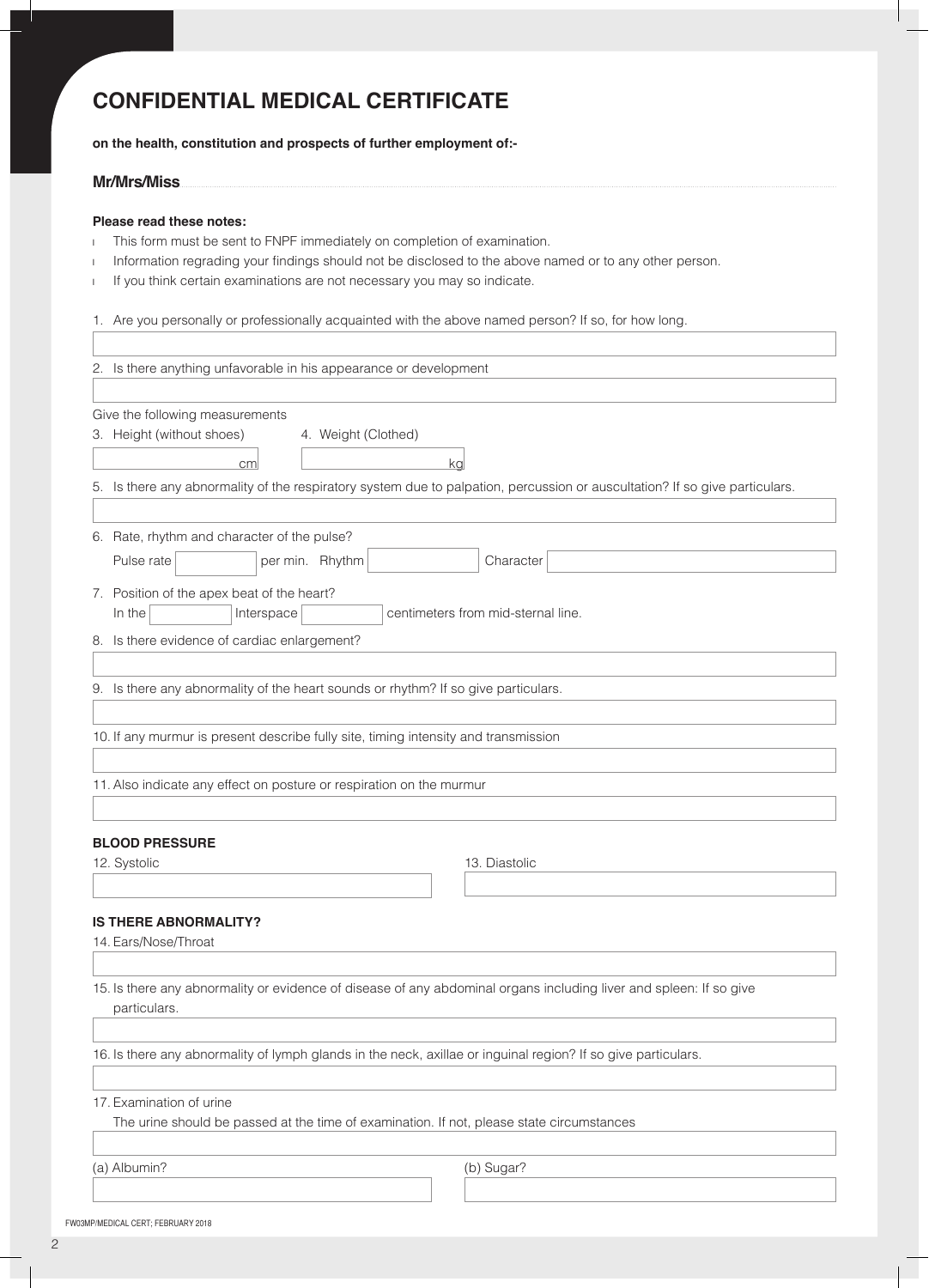# **Confidential Medical Certificate**

**on the health, constitution and prospects of further employment of:-**

### **Mr/Mrs/Miss**

### **Please read these notes:**

- I This form must be sent to FNPF immediately on completion of examination.
- I Information regrading your findings should not be disclosed to the above named or to any other person.
- I If you think certain examinations are not necessary you may so indicate.

1. Are you personally or professionally acquainted with the above named person? If so, for how long.

| 2. Is there anything unfavorable in his appearance or development                                                           |  |  |  |  |
|-----------------------------------------------------------------------------------------------------------------------------|--|--|--|--|
|                                                                                                                             |  |  |  |  |
| Give the following measurements                                                                                             |  |  |  |  |
| 3. Height (without shoes)<br>4. Weight (Clothed)                                                                            |  |  |  |  |
|                                                                                                                             |  |  |  |  |
| cm<br>ka                                                                                                                    |  |  |  |  |
| 5. Is there any abnormality of the respiratory system due to palpation, percussion or auscultation? If so give particulars. |  |  |  |  |
|                                                                                                                             |  |  |  |  |
| 6. Rate, rhythm and character of the pulse?                                                                                 |  |  |  |  |
| Pulse rate<br>per min. Rhythm<br>Character                                                                                  |  |  |  |  |
|                                                                                                                             |  |  |  |  |
| 7. Position of the apex beat of the heart?                                                                                  |  |  |  |  |
| In the<br>Interspace<br>centimeters from mid-sternal line.                                                                  |  |  |  |  |
| 8. Is there evidence of cardiac enlargement?                                                                                |  |  |  |  |
|                                                                                                                             |  |  |  |  |
| 9. Is there any abnormality of the heart sounds or rhythm? If so give particulars.                                          |  |  |  |  |
|                                                                                                                             |  |  |  |  |
| 10. If any murmur is present describe fully site, timing intensity and transmission                                         |  |  |  |  |
|                                                                                                                             |  |  |  |  |
|                                                                                                                             |  |  |  |  |
| 11. Also indicate any effect on posture or respiration on the murmur                                                        |  |  |  |  |
|                                                                                                                             |  |  |  |  |
| <b>BLOOD PRESSURE</b>                                                                                                       |  |  |  |  |
| 12. Systolic<br>13. Diastolic                                                                                               |  |  |  |  |
|                                                                                                                             |  |  |  |  |
|                                                                                                                             |  |  |  |  |
| <b>IS THERE ABNORMALITY?</b>                                                                                                |  |  |  |  |
| 14. Ears/Nose/Throat                                                                                                        |  |  |  |  |
|                                                                                                                             |  |  |  |  |
| 15. Is there any abnormality or evidence of disease of any abdominal organs including liver and spleen: If so give          |  |  |  |  |
| particulars.                                                                                                                |  |  |  |  |
|                                                                                                                             |  |  |  |  |
| 16. Is there any abnormality of lymph glands in the neck, axillae or inguinal region? If so give particulars.               |  |  |  |  |
|                                                                                                                             |  |  |  |  |
|                                                                                                                             |  |  |  |  |
| 17. Examination of urine                                                                                                    |  |  |  |  |
| The urine should be passed at the time of examination. If not, please state circumstances                                   |  |  |  |  |
|                                                                                                                             |  |  |  |  |
| (a) Albumin?<br>(b) Sugar?                                                                                                  |  |  |  |  |
|                                                                                                                             |  |  |  |  |

FW03MP/MEDICAL CERT; FEBRUARY 2018